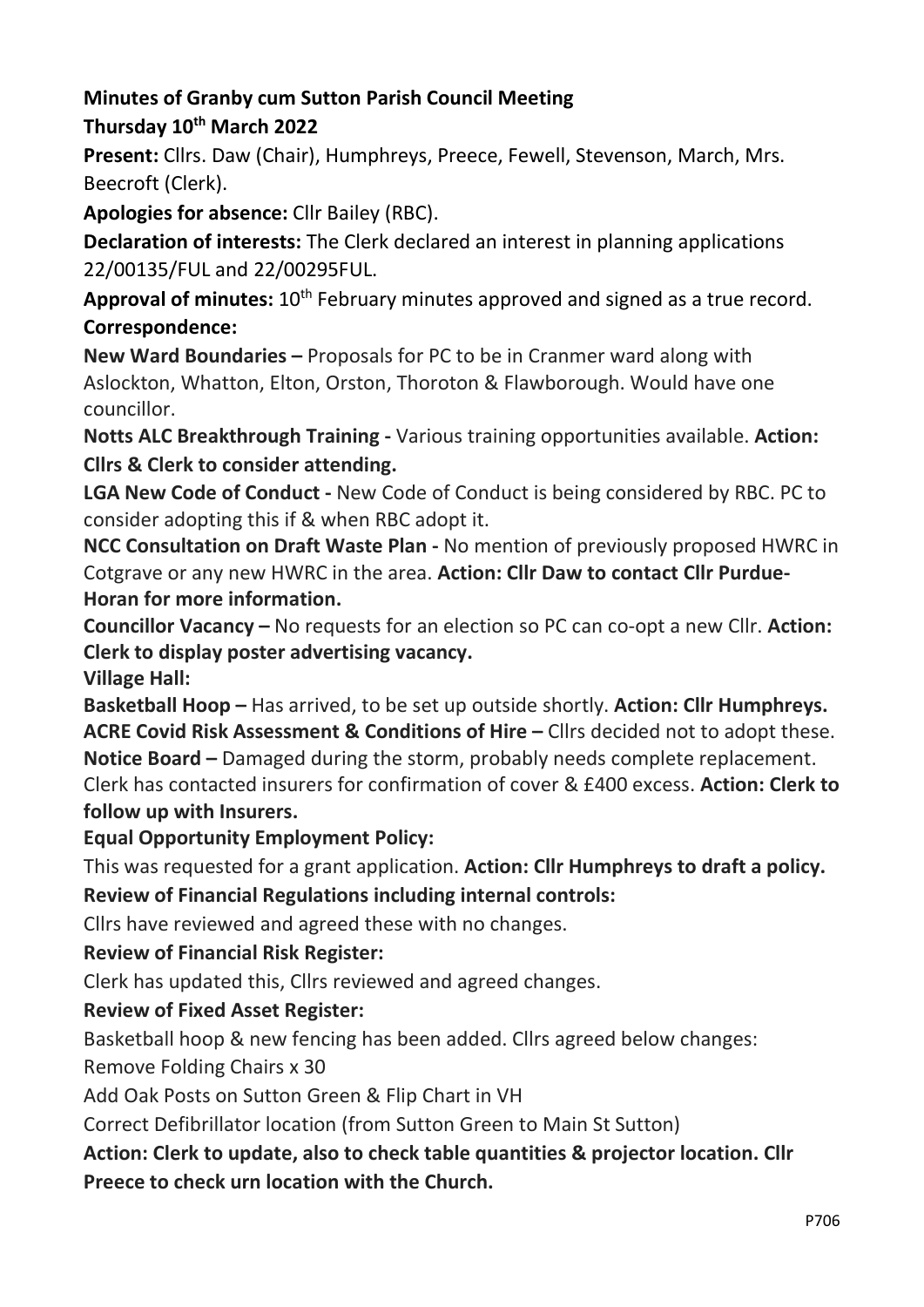#### Minutes of Granby cum Sutton Parish Council Meeting Thursday 10<sup>th</sup> March 2022

Present: Cllrs. Daw (Chair), Humphreys, Preece, Fewell, Stevenson, March, Mrs. Beecroft (Clerk).

Apologies for absence: Cllr Bailey (RBC).

Declaration of interests: The Clerk declared an interest in planning applications 22/00135/FUL and 22/00295FUL.

Approval of minutes:  $10<sup>th</sup>$  February minutes approved and signed as a true record. Correspondence:

New Ward Boundaries – Proposals for PC to be in Cranmer ward along with Aslockton, Whatton, Elton, Orston, Thoroton & Flawborough. Would have one councillor.

Notts ALC Breakthrough Training - Various training opportunities available. Action: Cllrs & Clerk to consider attending.

LGA New Code of Conduct - New Code of Conduct is being considered by RBC. PC to consider adopting this if & when RBC adopt it.

NCC Consultation on Draft Waste Plan - No mention of previously proposed HWRC in Cotgrave or any new HWRC in the area. Action: Cllr Daw to contact Cllr Purdue-Horan for more information.

Councillor Vacancy – No requests for an election so PC can co-opt a new Cllr. Action: Clerk to display poster advertising vacancy.

Village Hall:

Basketball Hoop – Has arrived, to be set up outside shortly. Action: Cllr Humphreys. ACRE Covid Risk Assessment & Conditions of Hire – Cllrs decided not to adopt these. Notice Board – Damaged during the storm, probably needs complete replacement. Clerk has contacted insurers for confirmation of cover & £400 excess. Action: Clerk to follow up with Insurers.

# Equal Opportunity Employment Policy:

This was requested for a grant application. Action: Cllr Humphreys to draft a policy. Review of Financial Regulations including internal controls:

Cllrs have reviewed and agreed these with no changes.

# Review of Financial Risk Register:

Clerk has updated this, Cllrs reviewed and agreed changes.

# Review of Fixed Asset Register:

Basketball hoop & new fencing has been added. Cllrs agreed below changes:

Remove Folding Chairs x 30

Add Oak Posts on Sutton Green & Flip Chart in VH

Correct Defibrillator location (from Sutton Green to Main St Sutton)

#### Action: Clerk to update, also to check table quantities & projector location. Cllr Preece to check urn location with the Church.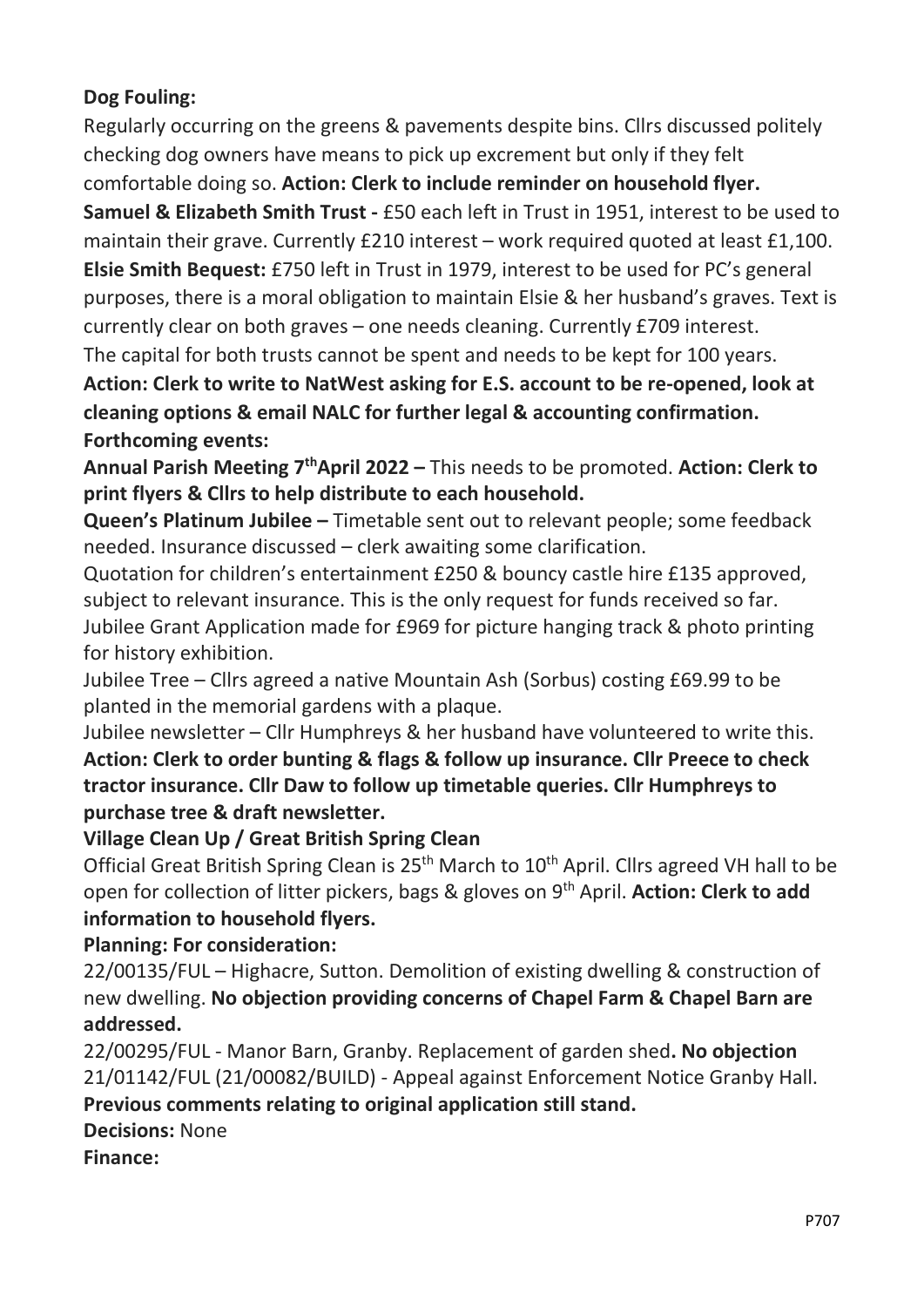### Dog Fouling:

Regularly occurring on the greens & pavements despite bins. Cllrs discussed politely checking dog owners have means to pick up excrement but only if they felt

comfortable doing so. Action: Clerk to include reminder on household flyer. Samuel & Elizabeth Smith Trust - £50 each left in Trust in 1951, interest to be used to maintain their grave. Currently £210 interest – work required quoted at least £1,100. Elsie Smith Bequest: £750 left in Trust in 1979, interest to be used for PC's general purposes, there is a moral obligation to maintain Elsie & her husband's graves. Text is currently clear on both graves – one needs cleaning. Currently £709 interest.

The capital for both trusts cannot be spent and needs to be kept for 100 years.

Action: Clerk to write to NatWest asking for E.S. account to be re-opened, look at cleaning options & email NALC for further legal & accounting confirmation. Forthcoming events:

Annual Parish Meeting  $7<sup>th</sup>$ April 2022 – This needs to be promoted. Action: Clerk to print flyers & Cllrs to help distribute to each household.

Queen's Platinum Jubilee – Timetable sent out to relevant people; some feedback needed. Insurance discussed – clerk awaiting some clarification.

Quotation for children's entertainment £250 & bouncy castle hire £135 approved, subject to relevant insurance. This is the only request for funds received so far. Jubilee Grant Application made for £969 for picture hanging track & photo printing for history exhibition.

Jubilee Tree – Cllrs agreed a native Mountain Ash (Sorbus) costing £69.99 to be planted in the memorial gardens with a plaque.

Jubilee newsletter – Cllr Humphreys & her husband have volunteered to write this. Action: Clerk to order bunting & flags & follow up insurance. Cllr Preece to check tractor insurance. Cllr Daw to follow up timetable queries. Cllr Humphreys to purchase tree & draft newsletter.

# Village Clean Up / Great British Spring Clean

Official Great British Spring Clean is 25<sup>th</sup> March to 10<sup>th</sup> April. Cllrs agreed VH hall to be open for collection of litter pickers, bags & gloves on 9<sup>th</sup> April. **Action: Clerk to add** information to household flyers.

#### Planning: For consideration:

22/00135/FUL – Highacre, Sutton. Demolition of existing dwelling & construction of new dwelling. No objection providing concerns of Chapel Farm & Chapel Barn are addressed.

22/00295/FUL - Manor Barn, Granby. Replacement of garden shed. No objection 21/01142/FUL (21/00082/BUILD) - Appeal against Enforcement Notice Granby Hall.

#### Previous comments relating to original application still stand.

Decisions: None

Finance: